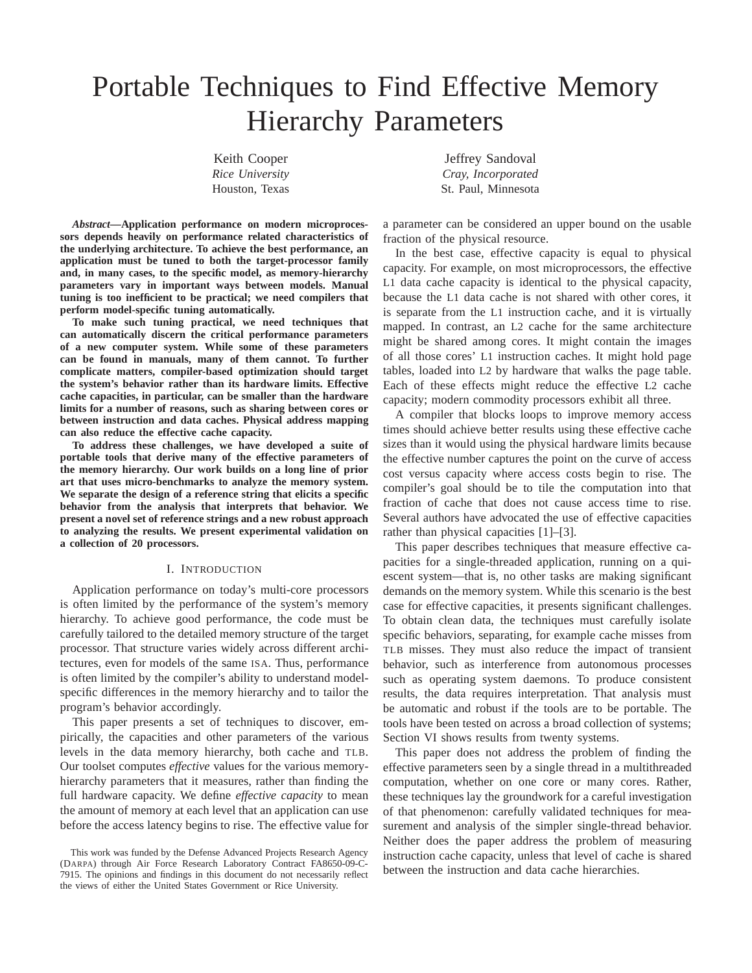# Portable Techniques to Find Effective Memory Hierarchy Parameters

Keith Cooper *Rice University* Houston, Texas

*Abstract***—Application performance on modern microprocessors depends heavily on performance related characteristics of the underlying architecture. To achieve the best performance, an application must be tuned to both the target-processor family and, in many cases, to the specific model, as memory-hierarchy parameters vary in important ways between models. Manual tuning is too inefficient to be practical; we need compilers that perform model-specific tuning automatically.**

**To make such tuning practical, we need techniques that can automatically discern the critical performance parameters of a new computer system. While some of these parameters can be found in manuals, many of them cannot. To further complicate matters, compiler-based optimization should target the system's behavior rather than its hardware limits. Effective cache capacities, in particular, can be smaller than the hardware limits for a number of reasons, such as sharing between cores or between instruction and data caches. Physical address mapping can also reduce the effective cache capacity.**

**To address these challenges, we have developed a suite of portable tools that derive many of the effective parameters of the memory hierarchy. Our work builds on a long line of prior art that uses micro-benchmarks to analyze the memory system. We separate the design of a reference string that elicits a specific behavior from the analysis that interprets that behavior. We present a novel set of reference strings and a new robust approach to analyzing the results. We present experimental validation on a collection of 20 processors.**

### I. INTRODUCTION

Application performance on today's multi-core processors is often limited by the performance of the system's memory hierarchy. To achieve good performance, the code must be carefully tailored to the detailed memory structure of the target processor. That structure varies widely across different architectures, even for models of the same ISA. Thus, performance is often limited by the compiler's ability to understand modelspecific differences in the memory hierarchy and to tailor the program's behavior accordingly.

This paper presents a set of techniques to discover, empirically, the capacities and other parameters of the various levels in the data memory hierarchy, both cache and TLB. Our toolset computes *effective* values for the various memoryhierarchy parameters that it measures, rather than finding the full hardware capacity. We define *effective capacity* to mean the amount of memory at each level that an application can use before the access latency begins to rise. The effective value for

This work was funded by the Defense Advanced Projects Research Agency (DARPA) through Air Force Research Laboratory Contract FA8650-09-C-7915. The opinions and findings in this document do not necessarily reflect the views of either the United States Government or Rice University.

Jeffrey Sandoval *Cray, Incorporated* St. Paul, Minnesota

a parameter can be considered an upper bound on the usable fraction of the physical resource.

In the best case, effective capacity is equal to physical capacity. For example, on most microprocessors, the effective L1 data cache capacity is identical to the physical capacity, because the L1 data cache is not shared with other cores, it is separate from the L1 instruction cache, and it is virtually mapped. In contrast, an L2 cache for the same architecture might be shared among cores. It might contain the images of all those cores' L1 instruction caches. It might hold page tables, loaded into L2 by hardware that walks the page table. Each of these effects might reduce the effective L2 cache capacity; modern commodity processors exhibit all three.

A compiler that blocks loops to improve memory access times should achieve better results using these effective cache sizes than it would using the physical hardware limits because the effective number captures the point on the curve of access cost versus capacity where access costs begin to rise. The compiler's goal should be to tile the computation into that fraction of cache that does not cause access time to rise. Several authors have advocated the use of effective capacities rather than physical capacities [1]–[3].

This paper describes techniques that measure effective capacities for a single-threaded application, running on a quiescent system—that is, no other tasks are making significant demands on the memory system. While this scenario is the best case for effective capacities, it presents significant challenges. To obtain clean data, the techniques must carefully isolate specific behaviors, separating, for example cache misses from TLB misses. They must also reduce the impact of transient behavior, such as interference from autonomous processes such as operating system daemons. To produce consistent results, the data requires interpretation. That analysis must be automatic and robust if the tools are to be portable. The tools have been tested on across a broad collection of systems; Section VI shows results from twenty systems.

This paper does not address the problem of finding the effective parameters seen by a single thread in a multithreaded computation, whether on one core or many cores. Rather, these techniques lay the groundwork for a careful investigation of that phenomenon: carefully validated techniques for measurement and analysis of the simpler single-thread behavior. Neither does the paper address the problem of measuring instruction cache capacity, unless that level of cache is shared between the instruction and data cache hierarchies.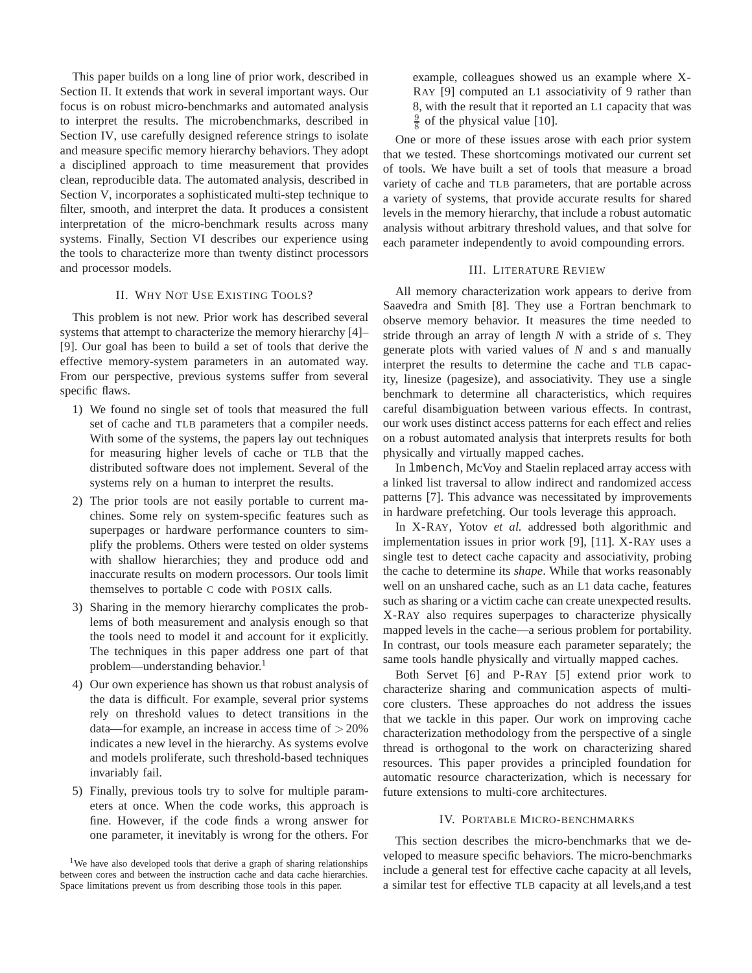This paper builds on a long line of prior work, described in Section II. It extends that work in several important ways. Our focus is on robust micro-benchmarks and automated analysis to interpret the results. The microbenchmarks, described in Section IV, use carefully designed reference strings to isolate and measure specific memory hierarchy behaviors. They adopt a disciplined approach to time measurement that provides clean, reproducible data. The automated analysis, described in Section V, incorporates a sophisticated multi-step technique to filter, smooth, and interpret the data. It produces a consistent interpretation of the micro-benchmark results across many systems. Finally, Section VI describes our experience using the tools to characterize more than twenty distinct processors and processor models.

## II. WHY NOT USE EXISTING TOOLS?

This problem is not new. Prior work has described several systems that attempt to characterize the memory hierarchy [4]– [9]. Our goal has been to build a set of tools that derive the effective memory-system parameters in an automated way. From our perspective, previous systems suffer from several specific flaws.

- 1) We found no single set of tools that measured the full set of cache and TLB parameters that a compiler needs. With some of the systems, the papers lay out techniques for measuring higher levels of cache or TLB that the distributed software does not implement. Several of the systems rely on a human to interpret the results.
- 2) The prior tools are not easily portable to current machines. Some rely on system-specific features such as superpages or hardware performance counters to simplify the problems. Others were tested on older systems with shallow hierarchies; they and produce odd and inaccurate results on modern processors. Our tools limit themselves to portable C code with POSIX calls.
- 3) Sharing in the memory hierarchy complicates the problems of both measurement and analysis enough so that the tools need to model it and account for it explicitly. The techniques in this paper address one part of that problem—understanding behavior.<sup>1</sup>
- 4) Our own experience has shown us that robust analysis of the data is difficult. For example, several prior systems rely on threshold values to detect transitions in the data—for example, an increase in access time of  $>20\%$ indicates a new level in the hierarchy. As systems evolve and models proliferate, such threshold-based techniques invariably fail.
- 5) Finally, previous tools try to solve for multiple parameters at once. When the code works, this approach is fine. However, if the code finds a wrong answer for one parameter, it inevitably is wrong for the others. For

example, colleagues showed us an example where X-RAY [9] computed an L1 associativity of 9 rather than 8, with the result that it reported an L1 capacity that was  $\frac{9}{8}$  of the physical value [10].

One or more of these issues arose with each prior system that we tested. These shortcomings motivated our current set of tools. We have built a set of tools that measure a broad variety of cache and TLB parameters, that are portable across a variety of systems, that provide accurate results for shared levels in the memory hierarchy, that include a robust automatic analysis without arbitrary threshold values, and that solve for each parameter independently to avoid compounding errors.

#### III. LITERATURE REVIEW

All memory characterization work appears to derive from Saavedra and Smith [8]. They use a Fortran benchmark to observe memory behavior. It measures the time needed to stride through an array of length *N* with a stride of *s*. They generate plots with varied values of *N* and *s* and manually interpret the results to determine the cache and TLB capacity, linesize (pagesize), and associativity. They use a single benchmark to determine all characteristics, which requires careful disambiguation between various effects. In contrast, our work uses distinct access patterns for each effect and relies on a robust automated analysis that interprets results for both physically and virtually mapped caches.

In lmbench, McVoy and Staelin replaced array access with a linked list traversal to allow indirect and randomized access patterns [7]. This advance was necessitated by improvements in hardware prefetching. Our tools leverage this approach.

In X-RAY, Yotov *et al.* addressed both algorithmic and implementation issues in prior work [9], [11]. X-RAY uses a single test to detect cache capacity and associativity, probing the cache to determine its *shape*. While that works reasonably well on an unshared cache, such as an L1 data cache, features such as sharing or a victim cache can create unexpected results. X-RAY also requires superpages to characterize physically mapped levels in the cache—a serious problem for portability. In contrast, our tools measure each parameter separately; the same tools handle physically and virtually mapped caches.

Both Servet [6] and P-RAY [5] extend prior work to characterize sharing and communication aspects of multicore clusters. These approaches do not address the issues that we tackle in this paper. Our work on improving cache characterization methodology from the perspective of a single thread is orthogonal to the work on characterizing shared resources. This paper provides a principled foundation for automatic resource characterization, which is necessary for future extensions to multi-core architectures.

# IV. PORTABLE MICRO-BENCHMARKS

This section describes the micro-benchmarks that we developed to measure specific behaviors. The micro-benchmarks include a general test for effective cache capacity at all levels, a similar test for effective TLB capacity at all levels,and a test

<sup>&</sup>lt;sup>1</sup>We have also developed tools that derive a graph of sharing relationships between cores and between the instruction cache and data cache hierarchies. Space limitations prevent us from describing those tools in this paper.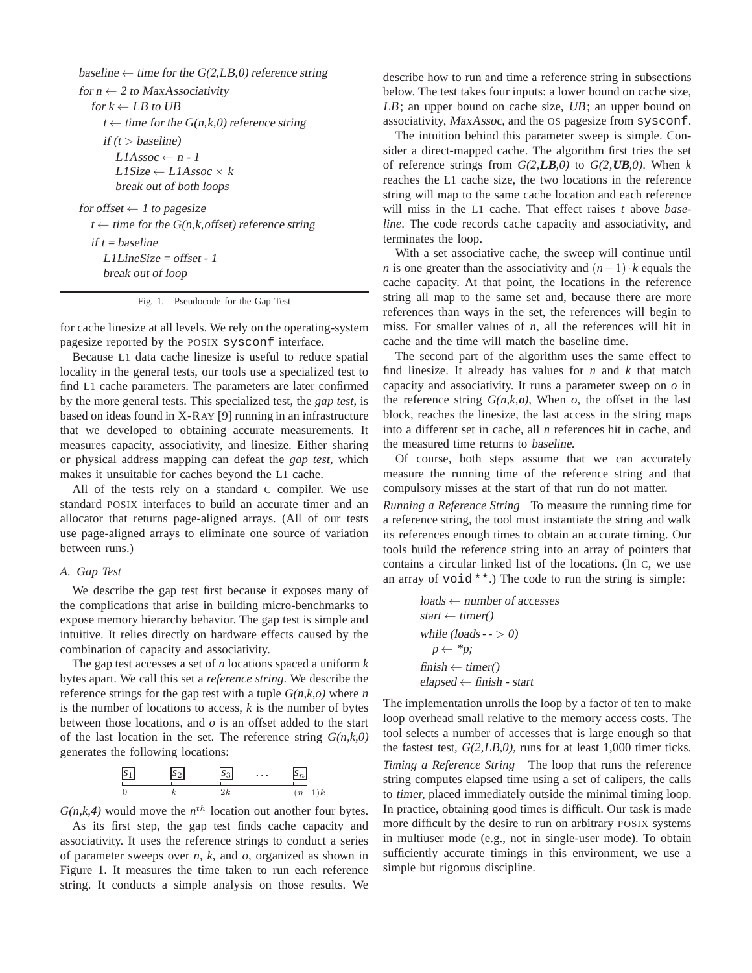baseline  $\leftarrow$  time for the G(2,LB,0) reference string for  $n \leftarrow 2$  to MaxAssociativity for  $k \leftarrow LB$  to UB  $t \leftarrow$  time for the  $G(n,k,0)$  reference string if  $(t > b$ aseline)  $L1Assoc \leftarrow n - 1$  $L1Size \leftarrow L1Assoc \times k$ break out of both loops for offset  $\leftarrow$  1 to pagesize  $t \leftarrow$  time for the G(n,k,offset) reference string if  $t = baseline$ L1LineSize <sup>=</sup> offset - <sup>1</sup> break out of loop

Fig. 1. Pseudocode for the Gap Test

for cache linesize at all levels. We rely on the operating-system pagesize reported by the POSIX sysconf interface.

Because L1 data cache linesize is useful to reduce spatial locality in the general tests, our tools use a specialized test to find L1 cache parameters. The parameters are later confirmed by the more general tests. This specialized test, the *gap test*, is based on ideas found in X-RAY [9] running in an infrastructure that we developed to obtaining accurate measurements. It measures capacity, associativity, and linesize. Either sharing or physical address mapping can defeat the *gap test*, which makes it unsuitable for caches beyond the L1 cache.

All of the tests rely on a standard C compiler. We use standard POSIX interfaces to build an accurate timer and an allocator that returns page-aligned arrays. (All of our tests use page-aligned arrays to eliminate one source of variation between runs.)

### *A. Gap Test*

We describe the gap test first because it exposes many of the complications that arise in building micro-benchmarks to expose memory hierarchy behavior. The gap test is simple and intuitive. It relies directly on hardware effects caused by the combination of capacity and associativity.

The gap test accesses a set of *n* locations spaced a uniform *k* bytes apart. We call this set a *reference string*. We describe the reference strings for the gap test with a tuple *G(n,k,o)* where *n* is the number of locations to access,  $k$  is the number of bytes between those locations, and *o* is an offset added to the start of the last location in the set. The reference string *G(n,k,0)* generates the following locations:



 $G(n, k, 4)$  would move the  $n<sup>th</sup>$  location out another four bytes. As its first step, the gap test finds cache capacity and

associativity. It uses the reference strings to conduct a series of parameter sweeps over *n*, *k*, and *o*, organized as shown in Figure 1. It measures the time taken to run each reference string. It conducts a simple analysis on those results. We describe how to run and time a reference string in subsections below. The test takes four inputs: a lower bound on cache size, LB; an upper bound on cache size, UB; an upper bound on associativity, MaxAssoc, and the OS pagesize from sysconf.

The intuition behind this parameter sweep is simple. Consider a direct-mapped cache. The algorithm first tries the set of reference strings from  $G(2,LB,0)$  to  $G(2,UB,0)$ . When *k* reaches the L1 cache size, the two locations in the reference string will map to the same cache location and each reference will miss in the L1 cache. That effect raises *t* above *baseline*. The code records cache capacity and associativity, and terminates the loop.

With a set associative cache, the sweep will continue until *n* is one greater than the associativity and  $(n-1) \cdot k$  equals the cache capacity. At that point, the locations in the reference string all map to the same set and, because there are more references than ways in the set, the references will begin to miss. For smaller values of *n*, all the references will hit in cache and the time will match the baseline time.

The second part of the algorithm uses the same effect to find linesize. It already has values for *n* and *k* that match capacity and associativity. It runs a parameter sweep on *o* in the reference string  $G(n,k, o)$ , When *o*, the offset in the last block, reaches the linesize, the last access in the string maps into a different set in cache, all *n* references hit in cache, and the measured time returns to baseline.

Of course, both steps assume that we can accurately measure the running time of the reference string and that compulsory misses at the start of that run do not matter.

*Running a Reference String* To measure the running time for a reference string, the tool must instantiate the string and walk its references enough times to obtain an accurate timing. Our tools build the reference string into an array of pointers that contains a circular linked list of the locations. (In C, we use an array of void \*\*.) The code to run the string is simple:

$$
loads ← number of accessesstart ← timer()
$$
  
while (loads -> 0)  
 $p \leftarrow *p;$   
finish ← timer()  
elapsed ← finish - start

The implementation unrolls the loop by a factor of ten to make loop overhead small relative to the memory access costs. The tool selects a number of accesses that is large enough so that the fastest test, *G(2,*LB*,0)*, runs for at least 1,000 timer ticks. *Timing a Reference String* The loop that runs the reference string computes elapsed time using a set of calipers, the calls to timer, placed immediately outside the minimal timing loop. In practice, obtaining good times is difficult. Our task is made more difficult by the desire to run on arbitrary POSIX systems in multiuser mode (e.g., not in single-user mode). To obtain sufficiently accurate timings in this environment, we use a simple but rigorous discipline.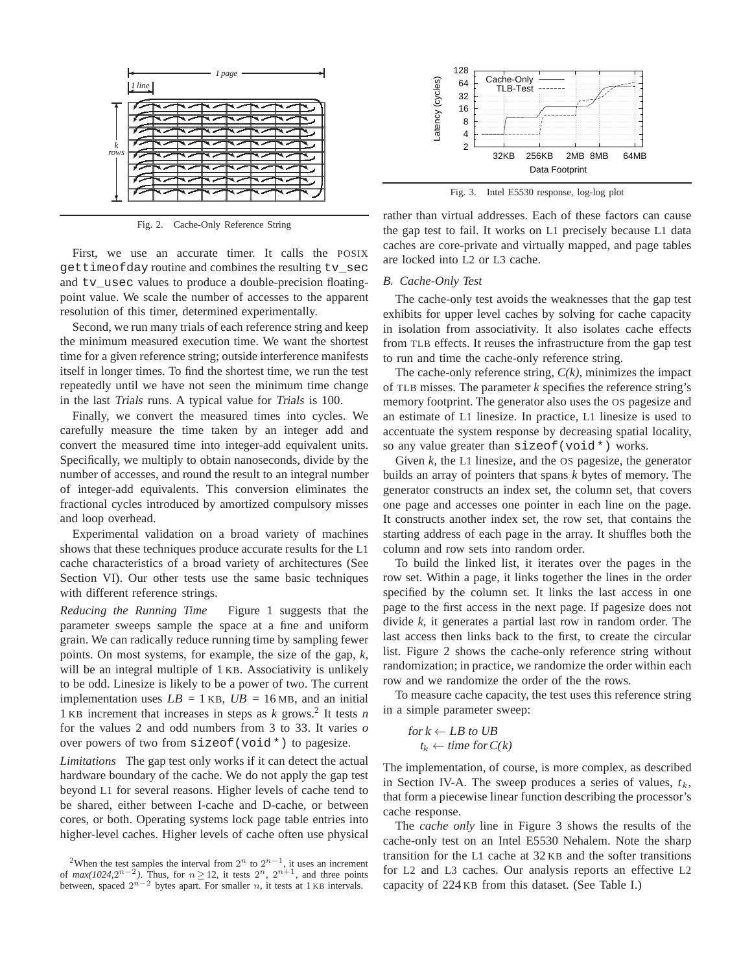

Fig. 2. Cache-Only Reference String

First, we use an accurate timer. It calls the POSIX gettimeofday routine and combines the resulting tv\_sec and tv\_usec values to produce a double-precision floatingpoint value. We scale the number of accesses to the apparent resolution of this timer, determined experimentally.

Second, we run many trials of each reference string and keep the minimum measured execution time. We want the shortest time for a given reference string; outside interference manifests itself in longer times. To find the shortest time, we run the test repeatedly until we have not seen the minimum time change in the last Trials runs. A typical value for Trials is 100.

Finally, we convert the measured times into cycles. We carefully measure the time taken by an integer add and convert the measured time into integer-add equivalent units. Specifically, we multiply to obtain nanoseconds, divide by the number of accesses, and round the result to an integral number of integer-add equivalents. This conversion eliminates the fractional cycles introduced by amortized compulsory misses and loop overhead.

Experimental validation on a broad variety of machines shows that these techniques produce accurate results for the L1 cache characteristics of a broad variety of architectures (See Section VI). Our other tests use the same basic techniques with different reference strings.

*Reducing the Running Time* Figure 1 suggests that the parameter sweeps sample the space at a fine and uniform grain. We can radically reduce running time by sampling fewer points. On most systems, for example, the size of the gap, *k*, will be an integral multiple of 1 KB. Associativity is unlikely to be odd. Linesize is likely to be a power of two. The current implementation uses  $LB = 1$  KB,  $UB = 16$  MB, and an initial 1 KB increment that increases in steps as *k* grows.<sup>2</sup> It tests *n* for the values 2 and odd numbers from 3 to 33. It varies *o* over powers of two from sizeof(void\*) to pagesize.

*Limitations* The gap test only works if it can detect the actual hardware boundary of the cache. We do not apply the gap test beyond L1 for several reasons. Higher levels of cache tend to be shared, either between I-cache and D-cache, or between cores, or both. Operating systems lock page table entries into higher-level caches. Higher levels of cache often use physical



Fig. 3. Intel E5530 response, log-log plot

rather than virtual addresses. Each of these factors can cause the gap test to fail. It works on L1 precisely because L1 data caches are core-private and virtually mapped, and page tables are locked into L2 or L3 cache.

## *B. Cache-Only Test*

The cache-only test avoids the weaknesses that the gap test exhibits for upper level caches by solving for cache capacity in isolation from associativity. It also isolates cache effects from TLB effects. It reuses the infrastructure from the gap test to run and time the cache-only reference string.

The cache-only reference string, *C(k)*, minimizes the impact of TLB misses. The parameter *k* specifies the reference string's memory footprint. The generator also uses the OS pagesize and an estimate of L1 linesize. In practice, L1 linesize is used to accentuate the system response by decreasing spatial locality, so any value greater than sizeof(void\*) works.

Given *k*, the L1 linesize, and the OS pagesize, the generator builds an array of pointers that spans *k* bytes of memory. The generator constructs an index set, the column set, that covers one page and accesses one pointer in each line on the page. It constructs another index set, the row set, that contains the starting address of each page in the array. It shuffles both the column and row sets into random order.

To build the linked list, it iterates over the pages in the row set. Within a page, it links together the lines in the order specified by the column set. It links the last access in one page to the first access in the next page. If pagesize does not divide *k*, it generates a partial last row in random order. The last access then links back to the first, to create the circular list. Figure 2 shows the cache-only reference string without randomization; in practice, we randomize the order within each row and we randomize the order of the the rows.

To measure cache capacity, the test uses this reference string in a simple parameter sweep:

for  $k \leftarrow LB$  to UB  $t_k \leftarrow$  time for  $C(k)$ 

The implementation, of course, is more complex, as described in Section IV-A. The sweep produces a series of values,  $t_k$ , that form a piecewise linear function describing the processor's cache response.

The *cache only* line in Figure 3 shows the results of the cache-only test on an Intel E5530 Nehalem. Note the sharp transition for the L1 cache at 32 KB and the softer transitions for L2 and L3 caches. Our analysis reports an effective L2 capacity of 224 KB from this dataset. (See Table I.)

<sup>&</sup>lt;sup>2</sup>When the test samples the interval from  $2^n$  to  $2^{n-1}$ , it uses an increment of  $max(1024, 2^{n-2})$ . Thus, for  $n \ge 12$ , it tests  $2^n$ ,  $2^{n+1}$ , and three points between, spaced  $2^{n-2}$  bytes apart. For smaller n, it tests at 1 KB intervals.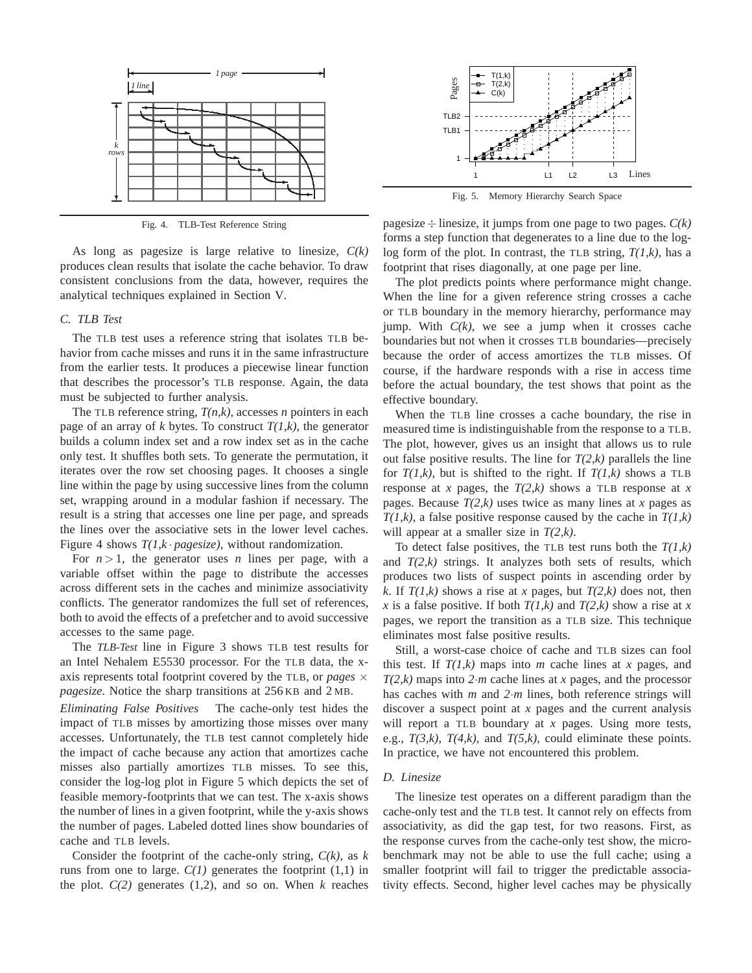

Fig. 4. TLB-Test Reference String

As long as pagesize is large relative to linesize, *C(k)* produces clean results that isolate the cache behavior. To draw consistent conclusions from the data, however, requires the analytical techniques explained in Section V.

# *C. TLB Test*

The TLB test uses a reference string that isolates TLB behavior from cache misses and runs it in the same infrastructure from the earlier tests. It produces a piecewise linear function that describes the processor's TLB response. Again, the data must be subjected to further analysis.

The TLB reference string, *T(n,k)*, accesses *n* pointers in each page of an array of  $k$  bytes. To construct  $T(1,k)$ , the generator builds a column index set and a row index set as in the cache only test. It shuffles both sets. To generate the permutation, it iterates over the row set choosing pages. It chooses a single line within the page by using successive lines from the column set, wrapping around in a modular fashion if necessary. The result is a string that accesses one line per page, and spreads the lines over the associative sets in the lower level caches. Figure 4 shows  $T(1, k \cdot \text{pages})$ , without randomization.

For  $n > 1$ , the generator uses *n* lines per page, with a variable offset within the page to distribute the accesses across different sets in the caches and minimize associativity conflicts. The generator randomizes the full set of references, both to avoid the effects of a prefetcher and to avoid successive accesses to the same page.

The *TLB-Test* line in Figure 3 shows TLB test results for an Intel Nehalem E5530 processor. For the TLB data, the xaxis represents total footprint covered by the TLB, or *pages*  $\times$ *pagesize*. Notice the sharp transitions at 256 KB and 2 MB.

*Eliminating False Positives* The cache-only test hides the impact of TLB misses by amortizing those misses over many accesses. Unfortunately, the TLB test cannot completely hide the impact of cache because any action that amortizes cache misses also partially amortizes TLB misses. To see this, consider the log-log plot in Figure 5 which depicts the set of feasible memory-footprints that we can test. The x-axis shows the number of lines in a given footprint, while the y-axis shows the number of pages. Labeled dotted lines show boundaries of cache and TLB levels.

Consider the footprint of the cache-only string, *C(k)*, as *k* runs from one to large.  $C(1)$  generates the footprint  $(1,1)$  in the plot.  $C(2)$  generates  $(1,2)$ , and so on. When  $k$  reaches



Fig. 5. Memory Hierarchy Search Space

pagesize  $\div$  linesize, it jumps from one page to two pages.  $C(k)$ forms a step function that degenerates to a line due to the loglog form of the plot. In contrast, the TLB string, *T(1,k)*, has a footprint that rises diagonally, at one page per line.

The plot predicts points where performance might change. When the line for a given reference string crosses a cache or TLB boundary in the memory hierarchy, performance may jump. With  $C(k)$ , we see a jump when it crosses cache boundaries but not when it crosses TLB boundaries—precisely because the order of access amortizes the TLB misses. Of course, if the hardware responds with a rise in access time before the actual boundary, the test shows that point as the effective boundary.

When the TLB line crosses a cache boundary, the rise in measured time is indistinguishable from the response to a TLB. The plot, however, gives us an insight that allows us to rule out false positive results. The line for  $T(2,k)$  parallels the line for  $T(1,k)$ , but is shifted to the right. If  $T(1,k)$  shows a TLB response at *x* pages, the  $T(2,k)$  shows a TLB response at *x* pages. Because *T(2,k)* uses twice as many lines at *x* pages as *T(1,k)*, a false positive response caused by the cache in *T(1,k)* will appear at a smaller size in *T(2,k)*.

To detect false positives, the TLB test runs both the *T(1,k)* and  $T(2,k)$  strings. It analyzes both sets of results, which produces two lists of suspect points in ascending order by *k*. If  $T(1,k)$  shows a rise at *x* pages, but  $T(2,k)$  does not, then *x* is a false positive. If both  $T(1,k)$  and  $T(2,k)$  show a rise at *x* pages, we report the transition as a TLB size. This technique eliminates most false positive results.

Still, a worst-case choice of cache and TLB sizes can fool this test. If  $T(1,k)$  maps into *m* cache lines at *x* pages, and *T(2,k)* maps into *2*·*m* cache lines at *x* pages, and the processor has caches with *m* and *2*·*m* lines, both reference strings will discover a suspect point at *x* pages and the current analysis will report a TLB boundary at *x* pages. Using more tests, e.g.,  $T(3,k)$ ,  $T(4,k)$ , and  $T(5,k)$ , could eliminate these points. In practice, we have not encountered this problem.

#### *D. Linesize*

The linesize test operates on a different paradigm than the cache-only test and the TLB test. It cannot rely on effects from associativity, as did the gap test, for two reasons. First, as the response curves from the cache-only test show, the microbenchmark may not be able to use the full cache; using a smaller footprint will fail to trigger the predictable associativity effects. Second, higher level caches may be physically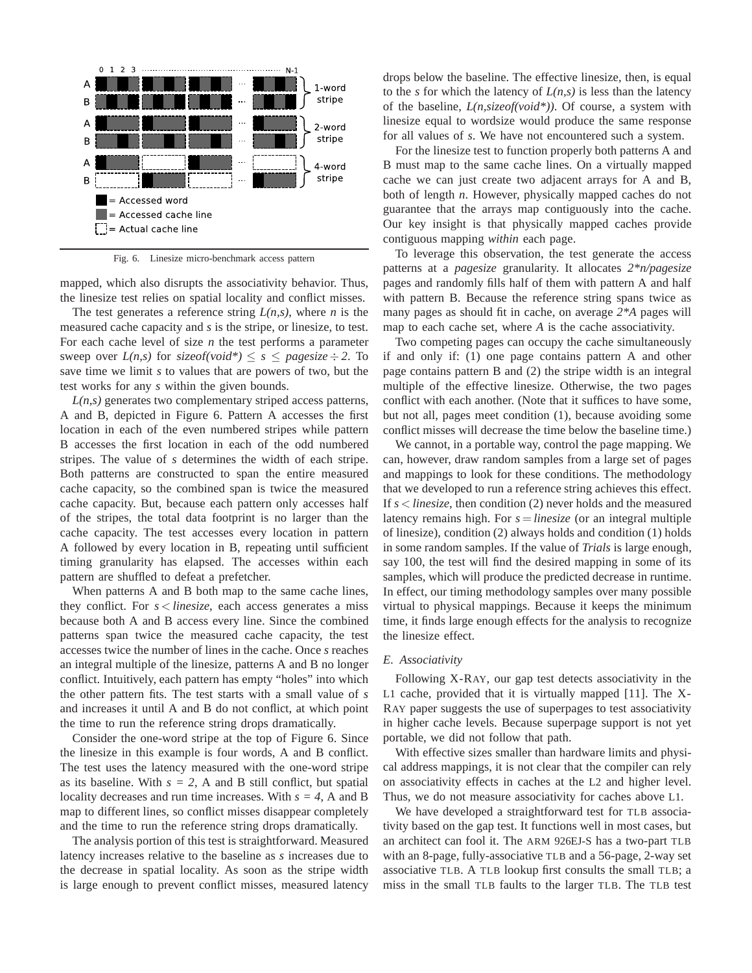

Fig. 6. Linesize micro-benchmark access pattern

mapped, which also disrupts the associativity behavior. Thus, the linesize test relies on spatial locality and conflict misses.

The test generates a reference string *L(n,s)*, where *n* is the measured cache capacity and *s* is the stripe, or linesize, to test. For each cache level of size *n* the test performs a parameter sweep over  $L(n,s)$  for sizeof(void\*)  $\leq s \leq$  pagesize  $\div$  2. To save time we limit *s* to values that are powers of two, but the test works for any *s* within the given bounds.

*L(n,s)* generates two complementary striped access patterns, A and B, depicted in Figure 6. Pattern A accesses the first location in each of the even numbered stripes while pattern B accesses the first location in each of the odd numbered stripes. The value of *s* determines the width of each stripe. Both patterns are constructed to span the entire measured cache capacity, so the combined span is twice the measured cache capacity. But, because each pattern only accesses half of the stripes, the total data footprint is no larger than the cache capacity. The test accesses every location in pattern A followed by every location in B, repeating until sufficient timing granularity has elapsed. The accesses within each pattern are shuffled to defeat a prefetcher.

When patterns A and B both map to the same cache lines, they conflict. For *s* < *linesize*, each access generates a miss because both A and B access every line. Since the combined patterns span twice the measured cache capacity, the test accesses twice the number of lines in the cache. Once *s* reaches an integral multiple of the linesize, patterns A and B no longer conflict. Intuitively, each pattern has empty "holes" into which the other pattern fits. The test starts with a small value of *s* and increases it until A and B do not conflict, at which point the time to run the reference string drops dramatically.

Consider the one-word stripe at the top of Figure 6. Since the linesize in this example is four words, A and B conflict. The test uses the latency measured with the one-word stripe as its baseline. With  $s = 2$ , A and B still conflict, but spatial locality decreases and run time increases. With *s = 4*, A and B map to different lines, so conflict misses disappear completely and the time to run the reference string drops dramatically.

The analysis portion of this test is straightforward. Measured latency increases relative to the baseline as *s* increases due to the decrease in spatial locality. As soon as the stripe width is large enough to prevent conflict misses, measured latency

drops below the baseline. The effective linesize, then, is equal to the *s* for which the latency of  $L(n,s)$  is less than the latency of the baseline, *L(n,sizeof(void\*))*. Of course, a system with linesize equal to wordsize would produce the same response for all values of *s*. We have not encountered such a system.

For the linesize test to function properly both patterns A and B must map to the same cache lines. On a virtually mapped cache we can just create two adjacent arrays for A and B, both of length *n*. However, physically mapped caches do not guarantee that the arrays map contiguously into the cache. Our key insight is that physically mapped caches provide contiguous mapping *within* each page.

To leverage this observation, the test generate the access patterns at a *pagesize* granularity. It allocates *2\*n/pagesize* pages and randomly fills half of them with pattern A and half with pattern B. Because the reference string spans twice as many pages as should fit in cache, on average *2\*A* pages will map to each cache set, where *A* is the cache associativity.

Two competing pages can occupy the cache simultaneously if and only if: (1) one page contains pattern A and other page contains pattern B and (2) the stripe width is an integral multiple of the effective linesize. Otherwise, the two pages conflict with each another. (Note that it suffices to have some, but not all, pages meet condition (1), because avoiding some conflict misses will decrease the time below the baseline time.)

We cannot, in a portable way, control the page mapping. We can, however, draw random samples from a large set of pages and mappings to look for these conditions. The methodology that we developed to run a reference string achieves this effect. If *s* < *linesize*, then condition (2) never holds and the measured latency remains high. For *s* = *linesize* (or an integral multiple of linesize), condition (2) always holds and condition (1) holds in some random samples. If the value of *Trials* is large enough, say 100, the test will find the desired mapping in some of its samples, which will produce the predicted decrease in runtime. In effect, our timing methodology samples over many possible virtual to physical mappings. Because it keeps the minimum time, it finds large enough effects for the analysis to recognize the linesize effect.

### *E. Associativity*

Following X-RAY, our gap test detects associativity in the L1 cache, provided that it is virtually mapped [11]. The X-RAY paper suggests the use of superpages to test associativity in higher cache levels. Because superpage support is not yet portable, we did not follow that path.

With effective sizes smaller than hardware limits and physical address mappings, it is not clear that the compiler can rely on associativity effects in caches at the L2 and higher level. Thus, we do not measure associativity for caches above L1.

We have developed a straightforward test for TLB associativity based on the gap test. It functions well in most cases, but an architect can fool it. The ARM 926EJ-S has a two-part TLB with an 8-page, fully-associative TLB and a 56-page, 2-way set associative TLB. A TLB lookup first consults the small TLB; a miss in the small TLB faults to the larger TLB. The TLB test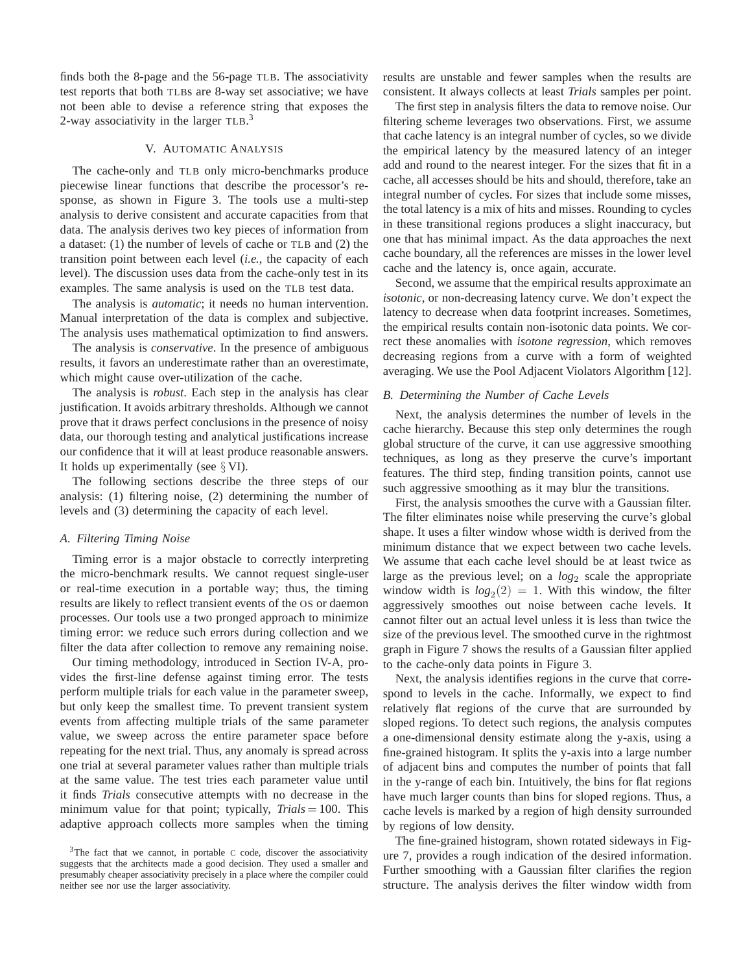finds both the 8-page and the 56-page TLB. The associativity test reports that both TLBs are 8-way set associative; we have not been able to devise a reference string that exposes the 2-way associativity in the larger  $TLB$ .<sup>3</sup>

## V. AUTOMATIC ANALYSIS

The cache-only and TLB only micro-benchmarks produce piecewise linear functions that describe the processor's response, as shown in Figure 3. The tools use a multi-step analysis to derive consistent and accurate capacities from that data. The analysis derives two key pieces of information from a dataset: (1) the number of levels of cache or TLB and (2) the transition point between each level (*i.e.*, the capacity of each level). The discussion uses data from the cache-only test in its examples. The same analysis is used on the TLB test data.

The analysis is *automatic*; it needs no human intervention. Manual interpretation of the data is complex and subjective. The analysis uses mathematical optimization to find answers.

The analysis is *conservative*. In the presence of ambiguous results, it favors an underestimate rather than an overestimate, which might cause over-utilization of the cache.

The analysis is *robust*. Each step in the analysis has clear justification. It avoids arbitrary thresholds. Although we cannot prove that it draws perfect conclusions in the presence of noisy data, our thorough testing and analytical justifications increase our confidence that it will at least produce reasonable answers. It holds up experimentally (see  $\S$  VI).

The following sections describe the three steps of our analysis: (1) filtering noise, (2) determining the number of levels and (3) determining the capacity of each level.

## *A. Filtering Timing Noise*

Timing error is a major obstacle to correctly interpreting the micro-benchmark results. We cannot request single-user or real-time execution in a portable way; thus, the timing results are likely to reflect transient events of the OS or daemon processes. Our tools use a two pronged approach to minimize timing error: we reduce such errors during collection and we filter the data after collection to remove any remaining noise.

Our timing methodology, introduced in Section IV-A, provides the first-line defense against timing error. The tests perform multiple trials for each value in the parameter sweep, but only keep the smallest time. To prevent transient system events from affecting multiple trials of the same parameter value, we sweep across the entire parameter space before repeating for the next trial. Thus, any anomaly is spread across one trial at several parameter values rather than multiple trials at the same value. The test tries each parameter value until it finds *Trials* consecutive attempts with no decrease in the minimum value for that point; typically, *Trials* = 100. This adaptive approach collects more samples when the timing results are unstable and fewer samples when the results are consistent. It always collects at least *Trials* samples per point.

The first step in analysis filters the data to remove noise. Our filtering scheme leverages two observations. First, we assume that cache latency is an integral number of cycles, so we divide the empirical latency by the measured latency of an integer add and round to the nearest integer. For the sizes that fit in a cache, all accesses should be hits and should, therefore, take an integral number of cycles. For sizes that include some misses, the total latency is a mix of hits and misses. Rounding to cycles in these transitional regions produces a slight inaccuracy, but one that has minimal impact. As the data approaches the next cache boundary, all the references are misses in the lower level cache and the latency is, once again, accurate.

Second, we assume that the empirical results approximate an *isotonic*, or non-decreasing latency curve. We don't expect the latency to decrease when data footprint increases. Sometimes, the empirical results contain non-isotonic data points. We correct these anomalies with *isotone regression*, which removes decreasing regions from a curve with a form of weighted averaging. We use the Pool Adjacent Violators Algorithm [12].

#### *B. Determining the Number of Cache Levels*

Next, the analysis determines the number of levels in the cache hierarchy. Because this step only determines the rough global structure of the curve, it can use aggressive smoothing techniques, as long as they preserve the curve's important features. The third step, finding transition points, cannot use such aggressive smoothing as it may blur the transitions.

First, the analysis smoothes the curve with a Gaussian filter. The filter eliminates noise while preserving the curve's global shape. It uses a filter window whose width is derived from the minimum distance that we expect between two cache levels. We assume that each cache level should be at least twice as large as the previous level; on a  $log_2$  scale the appropriate window width is  $log_2(2) = 1$ . With this window, the filter aggressively smoothes out noise between cache levels. It cannot filter out an actual level unless it is less than twice the size of the previous level. The smoothed curve in the rightmost graph in Figure 7 shows the results of a Gaussian filter applied to the cache-only data points in Figure 3.

Next, the analysis identifies regions in the curve that correspond to levels in the cache. Informally, we expect to find relatively flat regions of the curve that are surrounded by sloped regions. To detect such regions, the analysis computes a one-dimensional density estimate along the y-axis, using a fine-grained histogram. It splits the y-axis into a large number of adjacent bins and computes the number of points that fall in the y-range of each bin. Intuitively, the bins for flat regions have much larger counts than bins for sloped regions. Thus, a cache levels is marked by a region of high density surrounded by regions of low density.

The fine-grained histogram, shown rotated sideways in Figure 7, provides a rough indication of the desired information. Further smoothing with a Gaussian filter clarifies the region structure. The analysis derives the filter window width from

<sup>&</sup>lt;sup>3</sup>The fact that we cannot, in portable C code, discover the associativity suggests that the architects made a good decision. They used a smaller and presumably cheaper associativity precisely in a place where the compiler could neither see nor use the larger associativity.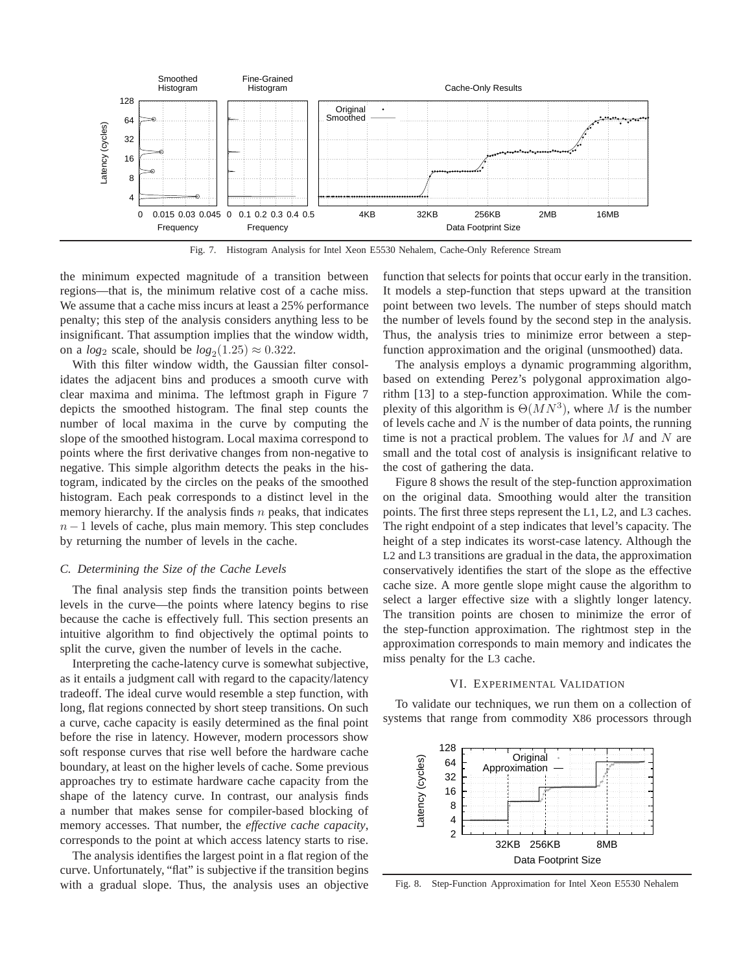

Fig. 7. Histogram Analysis for Intel Xeon E5530 Nehalem, Cache-Only Reference Stream

the minimum expected magnitude of a transition between regions—that is, the minimum relative cost of a cache miss. We assume that a cache miss incurs at least a 25% performance penalty; this step of the analysis considers anything less to be insignificant. That assumption implies that the window width, on a  $log_2$  scale, should be  $log_2(1.25) \approx 0.322$ .

With this filter window width, the Gaussian filter consolidates the adjacent bins and produces a smooth curve with clear maxima and minima. The leftmost graph in Figure 7 depicts the smoothed histogram. The final step counts the number of local maxima in the curve by computing the slope of the smoothed histogram. Local maxima correspond to points where the first derivative changes from non-negative to negative. This simple algorithm detects the peaks in the histogram, indicated by the circles on the peaks of the smoothed histogram. Each peak corresponds to a distinct level in the memory hierarchy. If the analysis finds  $n$  peaks, that indicates  $n-1$  levels of cache, plus main memory. This step concludes by returning the number of levels in the cache.

### *C. Determining the Size of the Cache Levels*

The final analysis step finds the transition points between levels in the curve—the points where latency begins to rise because the cache is effectively full. This section presents an intuitive algorithm to find objectively the optimal points to split the curve, given the number of levels in the cache.

Interpreting the cache-latency curve is somewhat subjective, as it entails a judgment call with regard to the capacity/latency tradeoff. The ideal curve would resemble a step function, with long, flat regions connected by short steep transitions. On such a curve, cache capacity is easily determined as the final point before the rise in latency. However, modern processors show soft response curves that rise well before the hardware cache boundary, at least on the higher levels of cache. Some previous approaches try to estimate hardware cache capacity from the shape of the latency curve. In contrast, our analysis finds a number that makes sense for compiler-based blocking of memory accesses. That number, the *effective cache capacity*, corresponds to the point at which access latency starts to rise.

The analysis identifies the largest point in a flat region of the curve. Unfortunately, "flat" is subjective if the transition begins with a gradual slope. Thus, the analysis uses an objective function that selects for points that occur early in the transition. It models a step-function that steps upward at the transition point between two levels. The number of steps should match the number of levels found by the second step in the analysis. Thus, the analysis tries to minimize error between a stepfunction approximation and the original (unsmoothed) data.

The analysis employs a dynamic programming algorithm, based on extending Perez's polygonal approximation algorithm [13] to a step-function approximation. While the complexity of this algorithm is  $\Theta(MN^3)$ , where M is the number of levels cache and  $N$  is the number of data points, the running time is not a practical problem. The values for  $M$  and  $N$  are small and the total cost of analysis is insignificant relative to the cost of gathering the data.

Figure 8 shows the result of the step-function approximation on the original data. Smoothing would alter the transition points. The first three steps represent the L1, L2, and L3 caches. The right endpoint of a step indicates that level's capacity. The height of a step indicates its worst-case latency. Although the L2 and L3 transitions are gradual in the data, the approximation conservatively identifies the start of the slope as the effective cache size. A more gentle slope might cause the algorithm to select a larger effective size with a slightly longer latency. The transition points are chosen to minimize the error of the step-function approximation. The rightmost step in the approximation corresponds to main memory and indicates the miss penalty for the L3 cache.

#### VI. EXPERIMENTAL VALIDATION

To validate our techniques, we run them on a collection of systems that range from commodity X86 processors through



Fig. 8. Step-Function Approximation for Intel Xeon E5530 Nehalem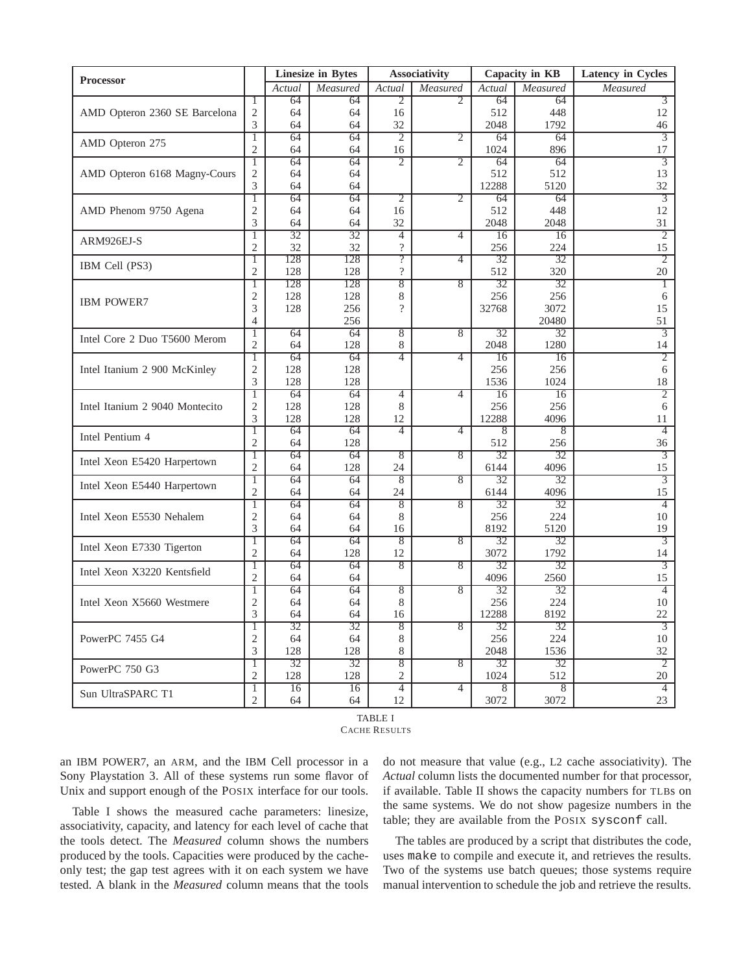| <b>Processor</b>               |                                  | <b>Linesize in Bytes</b> |            | Associativity            |                | Capacity in KB  |                | Latency in Cycles    |
|--------------------------------|----------------------------------|--------------------------|------------|--------------------------|----------------|-----------------|----------------|----------------------|
|                                |                                  | Actual                   | Measured   | Actual                   | Measured       | Actual          | Measured       | Measured             |
| AMD Opteron 2360 SE Barcelona  | 1                                | 64                       | 64         | 2                        | 2              | 64              | 64             | 3                    |
|                                | $\mathfrak{2}$                   | 64                       | 64         | 16                       |                | 512             | 448            | 12                   |
|                                | 3                                | 64                       | 64         | 32                       |                | 2048            | 1792           | 46                   |
| AMD Opteron 275                | 1                                | 64                       | 64         | 2                        | $\overline{2}$ | 64              | 64             | $\overline{3}$       |
|                                | $\overline{c}$<br>$\overline{1}$ | 64<br>64                 | 64<br>64   | 16<br>2                  | $\overline{2}$ | 1024<br>64      | 896<br>64      | 17<br>3              |
|                                | 2                                | 64                       | 64         |                          |                | 512             | 512            | 13                   |
| AMD Opteron 6168 Magny-Cours   | 3                                | 64                       | 64         |                          |                | 12288           | 5120           | 32                   |
| AMD Phenom 9750 Agena          | T                                | 64                       | 64         | $\overline{2}$           | $\overline{2}$ | 64              | 64             | $\overline{3}$       |
|                                | 2                                | 64                       | 64         | 16                       |                | 512             | 448            | 12                   |
|                                | 3                                | 64                       | 64         | 32                       |                | 2048            | 2048           | 31                   |
| ARM926EJ-S                     | T                                | 32                       | 32         | $\overline{4}$           | $\overline{4}$ | 16              | 16             | $\overline{2}$       |
|                                | $\mathfrak{2}$                   | 32                       | 32         | $\overline{\mathcal{C}}$ |                | 256             | 224            | 15                   |
|                                | $\mathbf{1}$                     | 128                      | 128        | $\overline{?}$           | $\overline{4}$ | 32              | 32             | $\overline{2}$       |
| IBM Cell (PS3)                 | $\overline{2}$                   | 128                      | 128        | $\overline{\mathcal{L}}$ |                | 512             | 320            | 20                   |
|                                | $\overline{1}$                   | 128                      | 128        | $\overline{8}$           | $\overline{8}$ | 32              | 32             | 1                    |
| <b>IBM POWER7</b>              | 2                                | 128                      | 128        | 8                        |                | 256             | 256            | 6                    |
|                                | 3                                | 128                      | 256        | $\overline{?}$           |                | 32768           | 3072           | 15                   |
|                                | $\overline{4}$                   |                          | 256        |                          |                |                 | 20480          | 51                   |
| Intel Core 2 Duo T5600 Merom   | 1                                | 64                       | 64         | 8                        | $\overline{8}$ | 32              | 32             | 3                    |
|                                | $\overline{2}$                   | 64                       | 128        | 8                        |                | 2048            | 1280           | 14                   |
|                                | 1                                | 64                       | 64         | $\overline{4}$           | $\overline{4}$ | 16              | 16             | $\overline{2}$       |
| Intel Itanium 2 900 McKinley   | $\mathfrak{2}$                   | 128<br>128               | 128<br>128 |                          |                | 256<br>1536     | 256<br>1024    | 6                    |
|                                | 3<br>T                           | 64                       | 64         | $\overline{4}$           | 4              | $\overline{16}$ | 16             | 18<br>$\overline{2}$ |
| Intel Itanium 2 9040 Montecito | 2                                | 128                      | 128        | 8                        |                | 256             | 256            | 6                    |
|                                | 3                                | 128                      | 128        | 12                       |                | 12288           | 4096           | 11                   |
|                                | T                                | 64                       | 64         | $\overline{4}$           | $\overline{4}$ | $\overline{8}$  | $\overline{8}$ | $\overline{4}$       |
| Intel Pentium 4                | $\mathfrak{2}$                   | 64                       | 128        |                          |                | 512             | 256            | 36                   |
| Intel Xeon E5420 Harpertown    | 1                                | 64                       | 64         | 8                        | $\overline{8}$ | 32              | 32             | 3                    |
|                                | $\overline{2}$                   | 64                       | 128        | 24                       |                | 6144            | 4096           | 15                   |
| Intel Xeon E5440 Harpertown    | T                                | 64                       | 64         | $\overline{8}$           | 8              | $\overline{32}$ | 32             | $\overline{3}$       |
|                                | $\mathfrak{2}$                   | 64                       | 64         | 24                       |                | 6144            | 4096           | 15                   |
| Intel Xeon E5530 Nehalem       | 1                                | 64                       | 64         | $\sqrt{8}$               | $\overline{8}$ | 32              | 32             | $\overline{4}$       |
|                                | 2                                | 64                       | 64         | 8                        |                | 256             | 224            | 10                   |
|                                | 3                                | 64                       | 64         | 16                       |                | 8192            | 5120           | 19                   |
| Intel Xeon E7330 Tigerton      | T                                | 64                       | 64         | 8                        | 8              | 32              | 32             | 3                    |
|                                | $\overline{2}$                   | 64                       | 128        | 12                       |                | 3072            | 1792           | 14                   |
| Intel Xeon X3220 Kentsfield    | 1<br>$\overline{2}$              | 64                       | 64         | 8                        | $\overline{8}$ | 32              | 32             | $\overline{3}$       |
|                                |                                  | 64<br>64                 | 64<br>64   | 8                        | 8              | 4096<br>32      | 2560<br>32     | 15<br>$\overline{4}$ |
| Intel Xeon X5660 Westmere      | 1<br>$\mathfrak{2}$              | 64                       | 64         | 8                        |                | 256             | 224            | 10                   |
|                                | 3                                | 64                       | 64         | 16                       |                | 12288           | 8192           | 22                   |
| PowerPC 7455 G4                | Τ                                | 32                       | 32         | $\overline{8}$           | 8              | 32              | 32             | 3                    |
|                                | 2                                | 64                       | 64         | 8                        |                | 256             | 224            | 10                   |
|                                | 3                                | 128                      | 128        | 8                        |                | 2048            | 1536           | 32                   |
| PowerPC 750 G3                 | 1                                | 32                       | 32         | 8                        | 8              | 32              | 32             | 2                    |
|                                | $\overline{2}$                   | 128                      | 128        | $\overline{2}$           |                | 1024            | 512            | 20                   |
| Sun UltraSPARC T1              | 1                                | 16                       | 16         | $\overline{4}$           | 4              | 8               | 8              | $\overline{4}$       |
|                                | 2                                | 64                       | 64         | 12                       |                | 3072            | 3072           | 23                   |

TABLE I CACHE RESULTS

an IBM POWER7, an ARM, and the IBM Cell processor in a Sony Playstation 3. All of these systems run some flavor of Unix and support enough of the POSIX interface for our tools.

Table I shows the measured cache parameters: linesize, associativity, capacity, and latency for each level of cache that the tools detect. The *Measured* column shows the numbers produced by the tools. Capacities were produced by the cacheonly test; the gap test agrees with it on each system we have tested. A blank in the *Measured* column means that the tools

do not measure that value (e.g., L2 cache associativity). The *Actual* column lists the documented number for that processor, if available. Table II shows the capacity numbers for TLBs on the same systems. We do not show pagesize numbers in the table; they are available from the POSIX sysconf call.

The tables are produced by a script that distributes the code, uses make to compile and execute it, and retrieves the results. Two of the systems use batch queues; those systems require manual intervention to schedule the job and retrieve the results.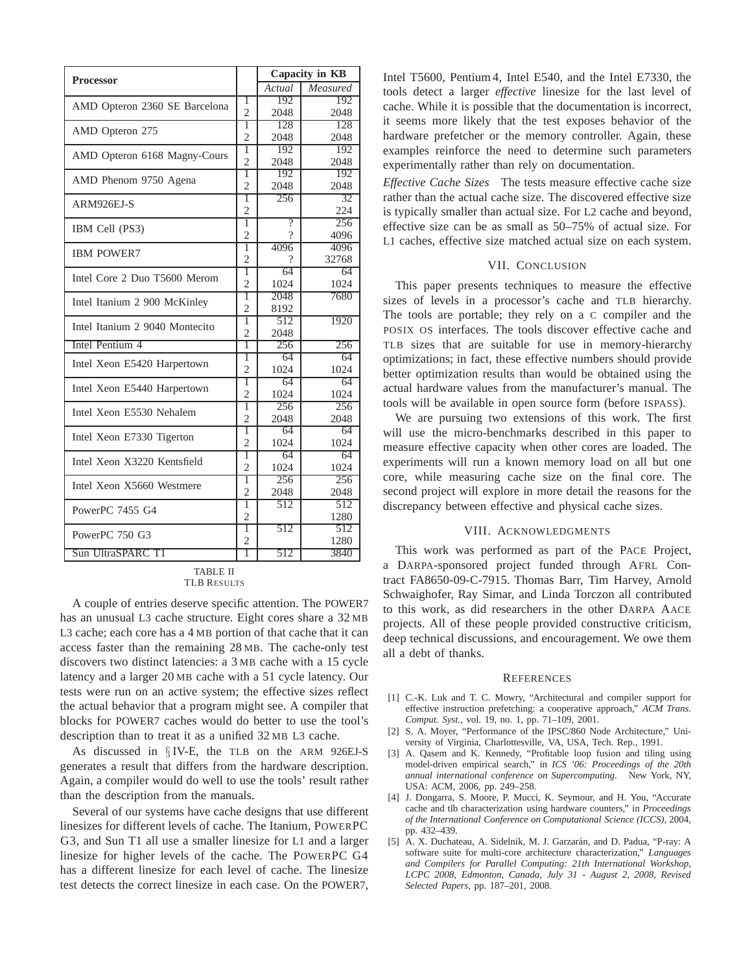| <b>Processor</b>               |                     | Capacity in KB |          |
|--------------------------------|---------------------|----------------|----------|
|                                |                     | Actual         | Measured |
| AMD Opteron 2360 SE Barcelona  | 1                   | 192            | 192      |
|                                | $\overline{c}$      | 2048           | 2048     |
| AMD Opteron 275                | 1                   | 128            | 128      |
|                                | $\overline{2}$      | 2048           | 2048     |
| AMD Opteron 6168 Magny-Cours   | ī                   | 192            | 192      |
|                                | $\overline{c}$<br>ī | 2048           | 2048     |
| AMD Phenom 9750 Agena          |                     | 192            | 192      |
|                                |                     | 2048           | 2048     |
| ARM926EJ-S                     |                     | 256            | 32       |
|                                |                     |                | 224      |
| IBM Cell (PS3)                 | 1                   | ?              | 256      |
|                                | $\overline{c}$      | 7              | 4096     |
| <b>IBM POWER7</b>              | 1                   | 4096           | 4096     |
|                                | $\overline{c}$      | ?              | 32768    |
| Intel Core 2 Duo T5600 Merom   | ī                   | 64             | 64       |
|                                | $\overline{2}$      | 1024           | 1024     |
| Intel Itanium 2 900 McKinley   | ī                   | 2048           | 7680     |
|                                | $\overline{c}$      | 8192           |          |
| Intel Itanium 2 9040 Montecito | 1                   | 512            | 1920     |
|                                | $\overline{2}$<br>1 | 2048           |          |
| Intel Pentium 4                |                     | 256            | 256      |
| Intel Xeon E5420 Harpertown    | 1                   | 64             | 64       |
|                                | $\overline{c}$<br>ī | 1024           | 1024     |
| Intel Xeon E5440 Harpertown    |                     | 64             | 64       |
|                                |                     | 1024           | 1024     |
| Intel Xeon E5530 Nehalem       |                     | 256            | 256      |
|                                | $\overline{2}$<br>ī | 2048           | 2048     |
| Intel Xeon E7330 Tigerton      |                     | 64             | 64       |
|                                | $\overline{c}$      | 1024           | 1024     |
| Intel Xeon X3220 Kentsfield    | 1                   | 64             | 64       |
|                                | $\mathfrak{D}$      | 1024           | 1024     |
| Intel Xeon X5660 Westmere      | 1                   | 256            | 256      |
|                                | $\overline{2}$<br>1 | 2048           | 2048     |
| PowerPC 7455 G4                |                     | 512            | 512      |
|                                |                     |                | 1280     |
| PowerPC 750 G3                 | ī                   | 512            | 512      |
|                                | $\overline{2}$      |                | 1280     |
| Sun UltraSPARC T1              | ī                   | 512            | 3840     |
| TA DI E II                     |                     |                |          |

| TA DE ETI   |  |
|-------------|--|
| TLB RESULTS |  |

A couple of entries deserve specific attention. The POWER7 has an unusual L3 cache structure. Eight cores share a 32 MB L3 cache; each core has a 4 MB portion of that cache that it can access faster than the remaining 28 MB. The cache-only test discovers two distinct latencies: a 3 MB cache with a 15 cycle latency and a larger 20 MB cache with a 51 cycle latency. Our tests were run on an active system; the effective sizes reflect the actual behavior that a program might see. A compiler that blocks for POWER7 caches would do better to use the tool's description than to treat it as a unified 32 MB L3 cache.

As discussed in § IV-E, the TLB on the ARM 926EJ-S generates a result that differs from the hardware description. Again, a compiler would do well to use the tools' result rather than the description from the manuals.

Several of our systems have cache designs that use different linesizes for different levels of cache. The Itanium, POWERPC G3, and Sun T1 all use a smaller linesize for L1 and a larger linesize for higher levels of the cache. The POWERPC G4 has a different linesize for each level of cache. The linesize test detects the correct linesize in each case. On the POWER7,

Intel T5600, Pentium 4, Intel E540, and the Intel E7330, the tools detect a larger *effective* linesize for the last level of cache. While it is possible that the documentation is incorrect, it seems more likely that the test exposes behavior of the hardware prefetcher or the memory controller. Again, these examples reinforce the need to determine such parameters experimentally rather than rely on documentation.

*Effective Cache Sizes* The tests measure effective cache size rather than the actual cache size. The discovered effective size is typically smaller than actual size. For L2 cache and beyond, effective size can be as small as 50–75% of actual size. For L1 caches, effective size matched actual size on each system.

## VII. CONCLUSION

This paper presents techniques to measure the effective sizes of levels in a processor's cache and TLB hierarchy. The tools are portable; they rely on a C compiler and the POSIX OS interfaces. The tools discover effective cache and TLB sizes that are suitable for use in memory-hierarchy optimizations; in fact, these effective numbers should provide better optimization results than would be obtained using the actual hardware values from the manufacturer's manual. The tools will be available in open source form (before ISPASS).

We are pursuing two extensions of this work. The first will use the micro-benchmarks described in this paper to measure effective capacity when other cores are loaded. The experiments will run a known memory load on all but one core, while measuring cache size on the final core. The second project will explore in more detail the reasons for the discrepancy between effective and physical cache sizes.

## VIII. ACKNOWLEDGMENTS

This work was performed as part of the PACE Project, a DARPA-sponsored project funded through AFRL Contract FA8650-09-C-7915. Thomas Barr, Tim Harvey, Arnold Schwaighofer, Ray Simar, and Linda Torczon all contributed to this work, as did researchers in the other DARPA AACE projects. All of these people provided constructive criticism, deep technical discussions, and encouragement. We owe them all a debt of thanks.

#### **REFERENCES**

- [1] C.-K. Luk and T. C. Mowry, "Architectural and compiler support for effective instruction prefetching: a cooperative approach," *ACM Trans. Comput. Syst.*, vol. 19, no. 1, pp. 71–109, 2001.
- [2] S. A. Moyer, "Performance of the IPSC/860 Node Architecture," University of Virginia, Charlottesville, VA, USA, Tech. Rep., 1991.
- [3] A. Qasem and K. Kennedy, "Profitable loop fusion and tiling using model-driven empirical search," in *ICS '06: Proceedings of the 20th annual international conference on Supercomputing*. New York, NY, USA: ACM, 2006, pp. 249–258.
- [4] J. Dongarra, S. Moore, P. Mucci, K. Seymour, and H. You, "Accurate cache and tlb characterization using hardware counters," in *Proceedings of the International Conference on Computational Science (ICCS)*, 2004, pp. 432–439.
- [5] A. X. Duchateau, A. Sidelnik, M. J. Garzarán, and D. Padua, "P-ray: A software suite for multi-core architecture characterization," *Languages and Compilers for Parallel Computing: 21th International Workshop, LCPC 2008, Edmonton, Canada, July 31 - August 2, 2008, Revised Selected Papers*, pp. 187–201, 2008.